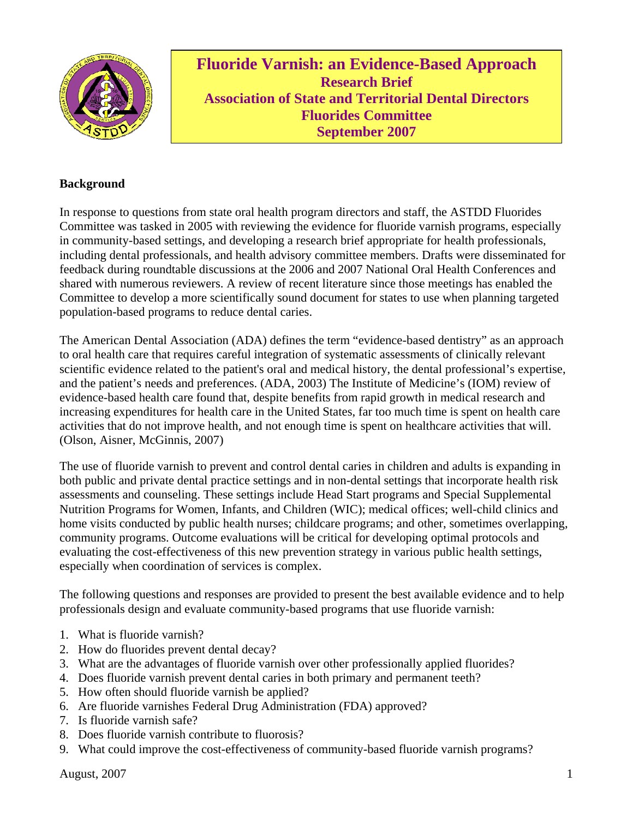

**Fluoride Varnish: an Evidence-Based Approach Research Brief Association of State and Territorial Dental Directors Fluorides Committee September 2007** 

#### **Background**

In response to questions from state oral health program directors and staff, the ASTDD Fluorides Committee was tasked in 2005 with reviewing the evidence for fluoride varnish programs, especially in community-based settings, and developing a research brief appropriate for health professionals, including dental professionals, and health advisory committee members. Drafts were disseminated for feedback during roundtable discussions at the 2006 and 2007 National Oral Health Conferences and shared with numerous reviewers. A review of recent literature since those meetings has enabled the Committee to develop a more scientifically sound document for states to use when planning targeted population-based programs to reduce dental caries.

The American Dental Association (ADA) defines the term "evidence-based dentistry" as an approach to oral health care that requires careful integration of systematic assessments of clinically relevant scientific evidence related to the patient's oral and medical history, the dental professional's expertise, and the patient's needs and preferences. (ADA, 2003) The Institute of Medicine's (IOM) review of evidence-based health care found that, despite benefits from rapid growth in medical research and increasing expenditures for health care in the United States, far too much time is spent on health care activities that do not improve health, and not enough time is spent on healthcare activities that will. (Olson, Aisner, McGinnis, 2007)

The use of fluoride varnish to prevent and control dental caries in children and adults is expanding in both public and private dental practice settings and in non-dental settings that incorporate health risk assessments and counseling. These settings include Head Start programs and Special Supplemental Nutrition Programs for Women, Infants, and Children (WIC); medical offices; well-child clinics and home visits conducted by public health nurses; childcare programs; and other, sometimes overlapping, community programs. Outcome evaluations will be critical for developing optimal protocols and evaluating the cost-effectiveness of this new prevention strategy in various public health settings, especially when coordination of services is complex.

The following questions and responses are provided to present the best available evidence and to help professionals design and evaluate community-based programs that use fluoride varnish:

- 1. What is fluoride varnish?
- 2. How do fluorides prevent dental decay?
- 3. What are the advantages of fluoride varnish over other professionally applied fluorides?
- 4. Does fluoride varnish prevent dental caries in both primary and permanent teeth?
- 5. How often should fluoride varnish be applied?
- 6. Are fluoride varnishes Federal Drug Administration (FDA) approved?
- 7. Is fluoride varnish safe?
- 8. Does fluoride varnish contribute to fluorosis?
- 9. What could improve the cost-effectiveness of community-based fluoride varnish programs?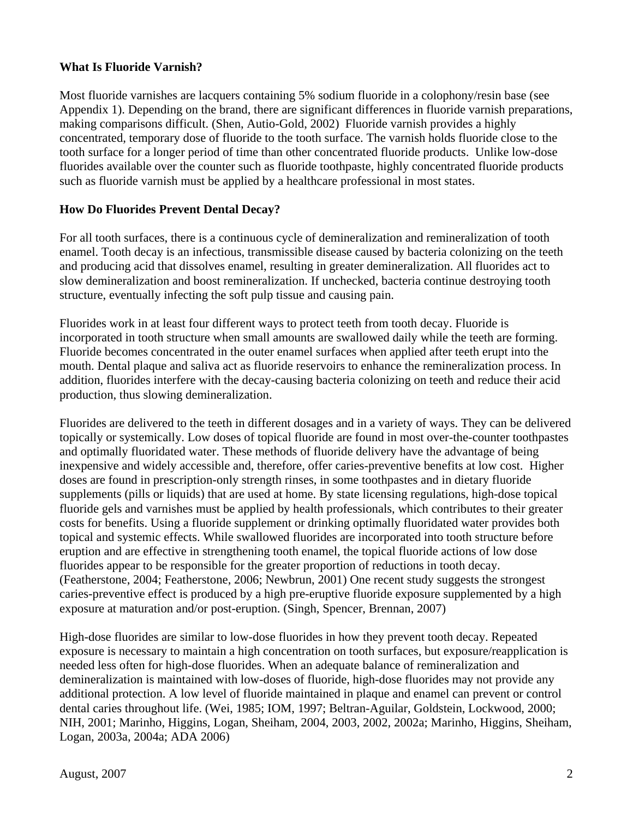#### **What Is Fluoride Varnish?**

Most fluoride varnishes are lacquers containing 5% sodium fluoride in a colophony/resin base (see Appendix 1). Depending on the brand, there are significant differences in fluoride varnish preparations, making comparisons difficult. (Shen, Autio-Gold, 2002) Fluoride varnish provides a highly concentrated, temporary dose of fluoride to the tooth surface. The varnish holds fluoride close to the tooth surface for a longer period of time than other concentrated fluoride products. Unlike low-dose fluorides available over the counter such as fluoride toothpaste, highly concentrated fluoride products such as fluoride varnish must be applied by a healthcare professional in most states.

#### **How Do Fluorides Prevent Dental Decay?**

For all tooth surfaces, there is a continuous cycle of demineralization and remineralization of tooth enamel. Tooth decay is an infectious, transmissible disease caused by bacteria colonizing on the teeth and producing acid that dissolves enamel, resulting in greater demineralization. All fluorides act to slow demineralization and boost remineralization. If unchecked, bacteria continue destroying tooth structure, eventually infecting the soft pulp tissue and causing pain.

Fluorides work in at least four different ways to protect teeth from tooth decay. Fluoride is incorporated in tooth structure when small amounts are swallowed daily while the teeth are forming. Fluoride becomes concentrated in the outer enamel surfaces when applied after teeth erupt into the mouth. Dental plaque and saliva act as fluoride reservoirs to enhance the remineralization process. In addition, fluorides interfere with the decay-causing bacteria colonizing on teeth and reduce their acid production, thus slowing demineralization.

Fluorides are delivered to the teeth in different dosages and in a variety of ways. They can be delivered topically or systemically. Low doses of topical fluoride are found in most over-the-counter toothpastes and optimally fluoridated water. These methods of fluoride delivery have the advantage of being inexpensive and widely accessible and, therefore, offer caries-preventive benefits at low cost. Higher doses are found in prescription-only strength rinses, in some toothpastes and in dietary fluoride supplements (pills or liquids) that are used at home. By state licensing regulations, high-dose topical fluoride gels and varnishes must be applied by health professionals, which contributes to their greater costs for benefits. Using a fluoride supplement or drinking optimally fluoridated water provides both topical and systemic effects. While swallowed fluorides are incorporated into tooth structure before eruption and are effective in strengthening tooth enamel, the topical fluoride actions of low dose fluorides appear to be responsible for the greater proportion of reductions in tooth decay. (Featherstone, 2004; Featherstone, 2006; Newbrun, 2001) One recent study suggests the strongest caries-preventive effect is produced by a high pre-eruptive fluoride exposure supplemented by a high exposure at maturation and/or post-eruption. (Singh, Spencer, Brennan, 2007)

High-dose fluorides are similar to low-dose fluorides in how they prevent tooth decay. Repeated exposure is necessary to maintain a high concentration on tooth surfaces, but exposure/reapplication is needed less often for high-dose fluorides. When an adequate balance of remineralization and demineralization is maintained with low-doses of fluoride, high-dose fluorides may not provide any additional protection. A low level of fluoride maintained in plaque and enamel can prevent or control dental caries throughout life. (Wei, 1985; IOM, 1997; Beltran-Aguilar, Goldstein, Lockwood, 2000; NIH, 2001; Marinho, Higgins, Logan, Sheiham, 2004, 2003, 2002, 2002a; Marinho, Higgins, Sheiham, Logan, 2003a, 2004a; ADA 2006)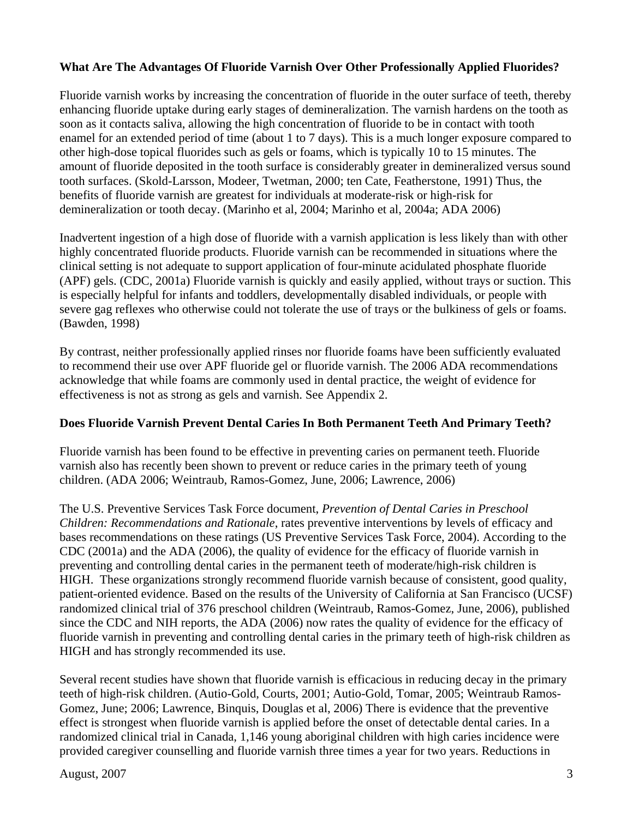## **What Are The Advantages Of Fluoride Varnish Over Other Professionally Applied Fluorides?**

Fluoride varnish works by increasing the concentration of fluoride in the outer surface of teeth, thereby enhancing fluoride uptake during early stages of demineralization. The varnish hardens on the tooth as soon as it contacts saliva, allowing the high concentration of fluoride to be in contact with tooth enamel for an extended period of time (about 1 to 7 days). This is a much longer exposure compared to other high-dose topical fluorides such as gels or foams, which is typically 10 to 15 minutes. The amount of fluoride deposited in the tooth surface is considerably greater in demineralized versus sound tooth surfaces. (Skold-Larsson, Modeer, Twetman, 2000; ten Cate, Featherstone, 1991) Thus, the benefits of fluoride varnish are greatest for individuals at moderate-risk or high-risk for demineralization or tooth decay. (Marinho et al, 2004; Marinho et al, 2004a; ADA 2006)

Inadvertent ingestion of a high dose of fluoride with a varnish application is less likely than with other highly concentrated fluoride products. Fluoride varnish can be recommended in situations where the clinical setting is not adequate to support application of four-minute acidulated phosphate fluoride (APF) gels. (CDC, 2001a) Fluoride varnish is quickly and easily applied, without trays or suction. This is especially helpful for infants and toddlers, developmentally disabled individuals, or people with severe gag reflexes who otherwise could not tolerate the use of trays or the bulkiness of gels or foams. (Bawden, 1998)

By contrast, neither professionally applied rinses nor fluoride foams have been sufficiently evaluated to recommend their use over APF fluoride gel or fluoride varnish. The 2006 ADA recommendations acknowledge that while foams are commonly used in dental practice, the weight of evidence for effectiveness is not as strong as gels and varnish. See Appendix 2.

#### **Does Fluoride Varnish Prevent Dental Caries In Both Permanent Teeth And Primary Teeth?**

Fluoride varnish has been found to be effective in preventing caries on permanent teeth. Fluoride varnish also has recently been shown to prevent or reduce caries in the primary teeth of young children. (ADA 2006; Weintraub, Ramos-Gomez, June, 2006; Lawrence, 2006)

The U.S. Preventive Services Task Force document, *Prevention of Dental Caries in Preschool Children: Recommendations and Rationale*, rates preventive interventions by levels of efficacy and bases recommendations on these ratings (US Preventive Services Task Force, 2004). According to the CDC (2001a) and the ADA (2006), the quality of evidence for the efficacy of fluoride varnish in preventing and controlling dental caries in the permanent teeth of moderate/high-risk children is HIGH. These organizations strongly recommend fluoride varnish because of consistent, good quality, patient-oriented evidence. Based on the results of the University of California at San Francisco (UCSF) randomized clinical trial of 376 preschool children (Weintraub, Ramos-Gomez, June, 2006), published since the CDC and NIH reports, the ADA (2006) now rates the quality of evidence for the efficacy of fluoride varnish in preventing and controlling dental caries in the primary teeth of high-risk children as HIGH and has strongly recommended its use.

Several recent studies have shown that fluoride varnish is efficacious in reducing decay in the primary teeth of high-risk children. (Autio-Gold, Courts, 2001; Autio-Gold, Tomar, 2005; Weintraub Ramos-Gomez, June; 2006; Lawrence, Binquis, Douglas et al, 2006) There is evidence that the preventive effect is strongest when fluoride varnish is applied before the onset of detectable dental caries. In a randomized clinical trial in Canada, 1,146 young aboriginal children with high caries incidence were provided caregiver counselling and fluoride varnish three times a year for two years. Reductions in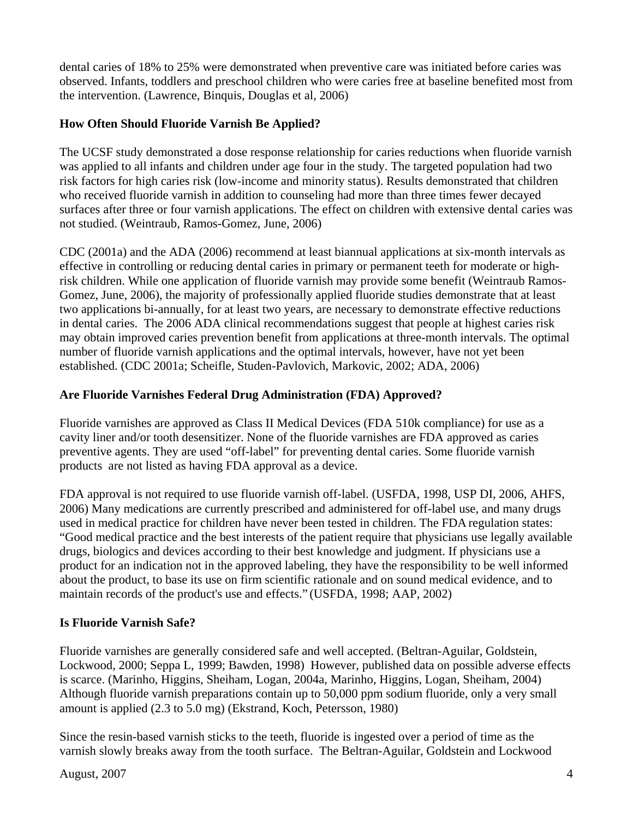dental caries of 18% to 25% were demonstrated when preventive care was initiated before caries was observed. Infants, toddlers and preschool children who were caries free at baseline benefited most from the intervention. (Lawrence, Binquis, Douglas et al, 2006)

# **How Often Should Fluoride Varnish Be Applied?**

The UCSF study demonstrated a dose response relationship for caries reductions when fluoride varnish was applied to all infants and children under age four in the study. The targeted population had two risk factors for high caries risk (low-income and minority status). Results demonstrated that children who received fluoride varnish in addition to counseling had more than three times fewer decayed surfaces after three or four varnish applications. The effect on children with extensive dental caries was not studied. (Weintraub, Ramos-Gomez, June, 2006)

CDC (2001a) and the ADA (2006) recommend at least biannual applications at six-month intervals as effective in controlling or reducing dental caries in primary or permanent teeth for moderate or highrisk children. While one application of fluoride varnish may provide some benefit (Weintraub Ramos-Gomez, June, 2006), the majority of professionally applied fluoride studies demonstrate that at least two applications bi-annually, for at least two years, are necessary to demonstrate effective reductions in dental caries. The 2006 ADA clinical recommendations suggest that people at highest caries risk may obtain improved caries prevention benefit from applications at three-month intervals. The optimal number of fluoride varnish applications and the optimal intervals, however, have not yet been established. (CDC 2001a; Scheifle, Studen-Pavlovich, Markovic, 2002; ADA, 2006)

# **Are Fluoride Varnishes Federal Drug Administration (FDA) Approved?**

Fluoride varnishes are approved as Class II Medical Devices (FDA 510k compliance) for use as a cavity liner and/or tooth desensitizer. None of the fluoride varnishes are FDA approved as caries preventive agents. They are used "off-label" for preventing dental caries. Some fluoride varnish products are not listed as having FDA approval as a device.

FDA approval is not required to use fluoride varnish off-label. (USFDA, 1998, USP DI, 2006, AHFS, 2006) Many medications are currently prescribed and administered for off-label use, and many drugs used in medical practice for children have never been tested in children. The FDA regulation states: "Good medical practice and the best interests of the patient require that physicians use legally available drugs, biologics and devices according to their best knowledge and judgment. If physicians use a product for an indication not in the approved labeling, they have the responsibility to be well informed about the product, to base its use on firm scientific rationale and on sound medical evidence, and to maintain records of the product's use and effects." (USFDA, 1998; AAP, 2002)

## **Is Fluoride Varnish Safe?**

Fluoride varnishes are generally considered safe and well accepted. (Beltran-Aguilar, Goldstein, Lockwood, 2000; Seppa L, 1999; Bawden, 1998) However, published data on possible adverse effects is scarce. (Marinho, Higgins, Sheiham, Logan, 2004a, Marinho, Higgins, Logan, Sheiham, 2004) Although fluoride varnish preparations contain up to 50,000 ppm sodium fluoride, only a very small amount is applied (2.3 to 5.0 mg) (Ekstrand, Koch, Petersson, 1980)

Since the resin-based varnish sticks to the teeth, fluoride is ingested over a period of time as the varnish slowly breaks away from the tooth surface. The Beltran-Aguilar, Goldstein and Lockwood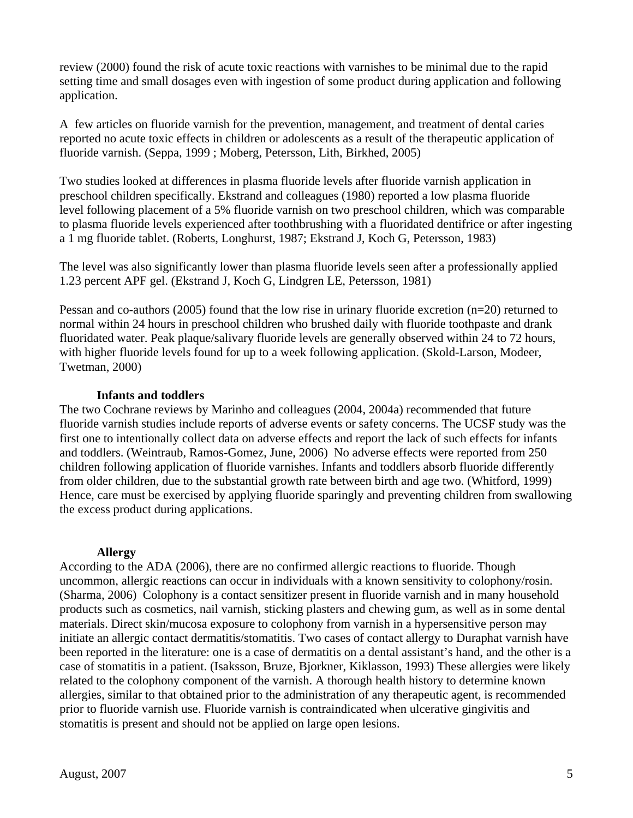review (2000) found the risk of acute toxic reactions with varnishes to be minimal due to the rapid setting time and small dosages even with ingestion of some product during application and following application.

A few articles on fluoride varnish for the prevention, management, and treatment of dental caries reported no acute toxic effects in children or adolescents as a result of the therapeutic application of fluoride varnish. (Seppa, 1999 ; Moberg, Petersson, Lith, Birkhed, 2005)

Two studies looked at differences in plasma fluoride levels after fluoride varnish application in preschool children specifically. Ekstrand and colleagues (1980) reported a low plasma fluoride level following placement of a 5% fluoride varnish on two preschool children, which was comparable to plasma fluoride levels experienced after toothbrushing with a fluoridated dentifrice or after ingesting a 1 mg fluoride tablet. (Roberts, Longhurst, 1987; Ekstrand J, Koch G, Petersson, 1983)

The level was also significantly lower than plasma fluoride levels seen after a professionally applied 1.23 percent APF gel. (Ekstrand J, Koch G, Lindgren LE, Petersson, 1981)

Pessan and co-authors (2005) found that the low rise in urinary fluoride excretion (n=20) returned to normal within 24 hours in preschool children who brushed daily with fluoride toothpaste and drank fluoridated water. Peak plaque/salivary fluoride levels are generally observed within 24 to 72 hours, with higher fluoride levels found for up to a week following application. (Skold-Larson, Modeer, Twetman, 2000)

#### **Infants and toddlers**

The two Cochrane reviews by Marinho and colleagues (2004, 2004a) recommended that future fluoride varnish studies include reports of adverse events or safety concerns. The UCSF study was the first one to intentionally collect data on adverse effects and report the lack of such effects for infants and toddlers. (Weintraub, Ramos-Gomez, June, 2006) No adverse effects were reported from 250 children following application of fluoride varnishes. Infants and toddlers absorb fluoride differently from older children, due to the substantial growth rate between birth and age two. (Whitford, 1999) Hence, care must be exercised by applying fluoride sparingly and preventing children from swallowing the excess product during applications.

#### **Allergy**

According to the ADA (2006), there are no confirmed allergic reactions to fluoride. Though uncommon, allergic reactions can occur in individuals with a known sensitivity to colophony/rosin. (Sharma, 2006) Colophony is a contact sensitizer present in fluoride varnish and in many household products such as cosmetics, nail varnish, sticking plasters and chewing gum, as well as in some dental materials. Direct skin/mucosa exposure to colophony from varnish in a hypersensitive person may initiate an allergic contact dermatitis/stomatitis. Two cases of contact allergy to Duraphat varnish have been reported in the literature: one is a case of dermatitis on a dental assistant's hand, and the other is a case of stomatitis in a patient. (Isaksson, Bruze, Bjorkner, Kiklasson, 1993) These allergies were likely related to the colophony component of the varnish. A thorough health history to determine known allergies, similar to that obtained prior to the administration of any therapeutic agent, is recommended prior to fluoride varnish use. Fluoride varnish is contraindicated when ulcerative gingivitis and stomatitis is present and should not be applied on large open lesions.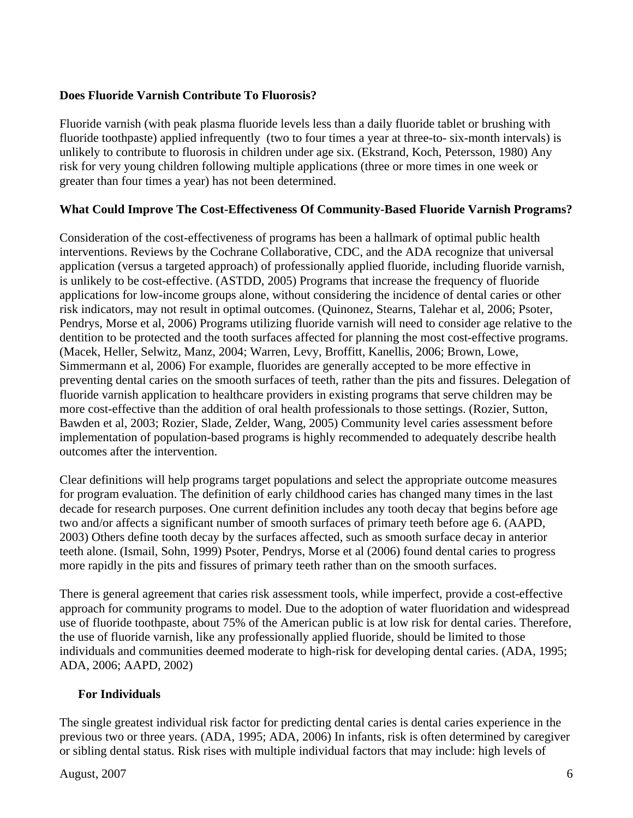## **Does Fluoride Varnish Contribute To Fluorosis?**

Fluoride varnish (with peak plasma fluoride levels less than a daily fluoride tablet or brushing with fluoride toothpaste) applied infrequently (two to four times a year at three-to- six-month intervals) is unlikely to contribute to fluorosis in children under age six. (Ekstrand, Koch, Petersson, 1980) Any risk for very young children following multiple applications (three or more times in one week or greater than four times a year) has not been determined.

#### **What Could Improve The Cost-Effectiveness Of Community-Based Fluoride Varnish Programs?**

Consideration of the cost-effectiveness of programs has been a hallmark of optimal public health interventions. Reviews by the Cochrane Collaborative, CDC, and the ADA recognize that universal application (versus a targeted approach) of professionally applied fluoride, including fluoride varnish, is unlikely to be cost-effective. (ASTDD, 2005) Programs that increase the frequency of fluoride applications for low-income groups alone, without considering the incidence of dental caries or other risk indicators, may not result in optimal outcomes. (Quinonez, Stearns, Talehar et al, 2006; Psoter, Pendrys, Morse et al, 2006) Programs utilizing fluoride varnish will need to consider age relative to the dentition to be protected and the tooth surfaces affected for planning the most cost-effective programs. (Macek, Heller, Selwitz, Manz, 2004; Warren, Levy, Broffitt, Kanellis, 2006; Brown, Lowe, Simmermann et al, 2006) For example, fluorides are generally accepted to be more effective in preventing dental caries on the smooth surfaces of teeth, rather than the pits and fissures. Delegation of fluoride varnish application to healthcare providers in existing programs that serve children may be more cost-effective than the addition of oral health professionals to those settings. (Rozier, Sutton, Bawden et al, 2003; Rozier, Slade, Zelder, Wang, 2005) Community level caries assessment before implementation of population-based programs is highly recommended to adequately describe health outcomes after the intervention.

Clear definitions will help programs target populations and select the appropriate outcome measures for program evaluation. The definition of early childhood caries has changed many times in the last decade for research purposes. One current definition includes any tooth decay that begins before age two and/or affects a significant number of smooth surfaces of primary teeth before age 6. (AAPD, 2003) Others define tooth decay by the surfaces affected, such as smooth surface decay in anterior teeth alone. (Ismail, Sohn, 1999) Psoter, Pendrys, Morse et al (2006) found dental caries to progress more rapidly in the pits and fissures of primary teeth rather than on the smooth surfaces.

There is general agreement that caries risk assessment tools, while imperfect, provide a cost-effective approach for community programs to model. Due to the adoption of water fluoridation and widespread use of fluoride toothpaste, about 75% of the American public is at low risk for dental caries. Therefore, the use of fluoride varnish, like any professionally applied fluoride, should be limited to those individuals and communities deemed moderate to high-risk for developing dental caries. (ADA, 1995; ADA, 2006; AAPD, 2002)

## **For Individuals**

The single greatest individual risk factor for predicting dental caries is dental caries experience in the previous two or three years. (ADA, 1995; ADA, 2006) In infants, risk is often determined by caregiver or sibling dental status. Risk rises with multiple individual factors that may include: high levels of

#### August, 2007 6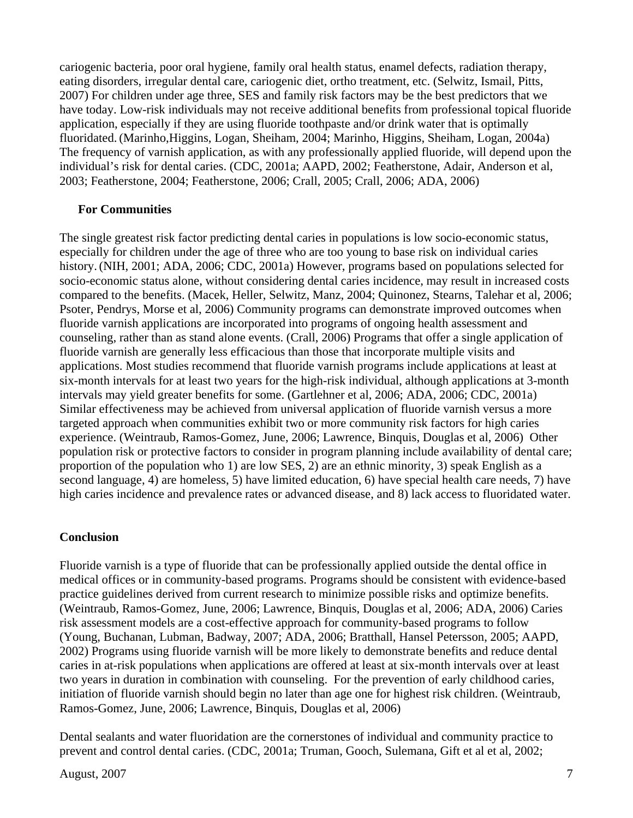cariogenic bacteria, poor oral hygiene, family oral health status, enamel defects, radiation therapy, eating disorders, irregular dental care, cariogenic diet, ortho treatment, etc. (Selwitz, Ismail, Pitts, 2007) For children under age three, SES and family risk factors may be the best predictors that we have today. Low-risk individuals may not receive additional benefits from professional topical fluoride application, especially if they are using fluoride toothpaste and/or drink water that is optimally fluoridated. (Marinho,Higgins, Logan, Sheiham, 2004; Marinho, Higgins, Sheiham, Logan, 2004a) The frequency of varnish application, as with any professionally applied fluoride, will depend upon the individual's risk for dental caries. (CDC, 2001a; AAPD, 2002; Featherstone, Adair, Anderson et al, 2003; Featherstone, 2004; Featherstone, 2006; Crall, 2005; Crall, 2006; ADA, 2006)

#### **For Communities**

The single greatest risk factor predicting dental caries in populations is low socio-economic status, especially for children under the age of three who are too young to base risk on individual caries history. (NIH, 2001; ADA, 2006; CDC, 2001a) However, programs based on populations selected for socio-economic status alone, without considering dental caries incidence, may result in increased costs compared to the benefits. (Macek, Heller, Selwitz, Manz, 2004; Quinonez, Stearns, Talehar et al, 2006; Psoter, Pendrys, Morse et al, 2006) Community programs can demonstrate improved outcomes when fluoride varnish applications are incorporated into programs of ongoing health assessment and counseling, rather than as stand alone events. (Crall, 2006) Programs that offer a single application of fluoride varnish are generally less efficacious than those that incorporate multiple visits and applications. Most studies recommend that fluoride varnish programs include applications at least at six-month intervals for at least two years for the high-risk individual, although applications at 3-month intervals may yield greater benefits for some. (Gartlehner et al, 2006; ADA, 2006; CDC, 2001a) Similar effectiveness may be achieved from universal application of fluoride varnish versus a more targeted approach when communities exhibit two or more community risk factors for high caries experience. (Weintraub, Ramos-Gomez, June, 2006; Lawrence, Binquis, Douglas et al, 2006) Other population risk or protective factors to consider in program planning include availability of dental care; proportion of the population who 1) are low SES, 2) are an ethnic minority, 3) speak English as a second language, 4) are homeless, 5) have limited education, 6) have special health care needs, 7) have high caries incidence and prevalence rates or advanced disease, and 8) lack access to fluoridated water.

#### **Conclusion**

Fluoride varnish is a type of fluoride that can be professionally applied outside the dental office in medical offices or in community-based programs. Programs should be consistent with evidence-based practice guidelines derived from current research to minimize possible risks and optimize benefits. (Weintraub, Ramos-Gomez, June, 2006; Lawrence, Binquis, Douglas et al, 2006; ADA, 2006) Caries risk assessment models are a cost-effective approach for community-based programs to follow (Young, Buchanan, Lubman, Badway, 2007; ADA, 2006; Bratthall, Hansel Petersson, 2005; AAPD, 2002) Programs using fluoride varnish will be more likely to demonstrate benefits and reduce dental caries in at-risk populations when applications are offered at least at six-month intervals over at least two years in duration in combination with counseling. For the prevention of early childhood caries, initiation of fluoride varnish should begin no later than age one for highest risk children. (Weintraub, Ramos-Gomez, June, 2006; Lawrence, Binquis, Douglas et al, 2006)

Dental sealants and water fluoridation are the cornerstones of individual and community practice to prevent and control dental caries. (CDC, 2001a; Truman, Gooch, Sulemana, Gift et al et al, 2002;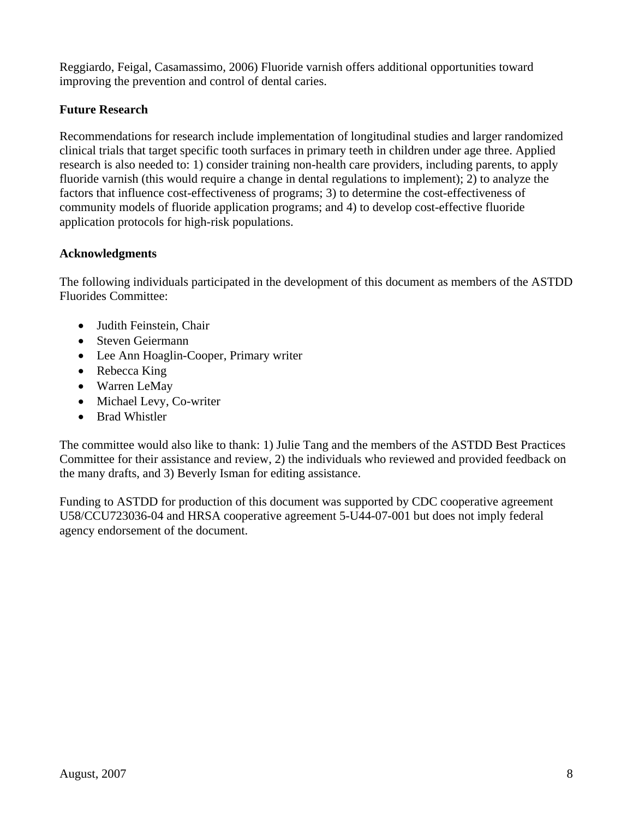Reggiardo, Feigal, Casamassimo, 2006) Fluoride varnish offers additional opportunities toward improving the prevention and control of dental caries.

## **Future Research**

Recommendations for research include implementation of longitudinal studies and larger randomized clinical trials that target specific tooth surfaces in primary teeth in children under age three. Applied research is also needed to: 1) consider training non-health care providers, including parents, to apply fluoride varnish (this would require a change in dental regulations to implement); 2) to analyze the factors that influence cost-effectiveness of programs; 3) to determine the cost-effectiveness of community models of fluoride application programs; and 4) to develop cost-effective fluoride application protocols for high-risk populations.

## **Acknowledgments**

The following individuals participated in the development of this document as members of the ASTDD Fluorides Committee:

- Judith Feinstein, Chair
- Steven Geiermann
- Lee Ann Hoaglin-Cooper, Primary writer
- Rebecca King
- Warren LeMay
- Michael Levy, Co-writer
- Brad Whistler

The committee would also like to thank: 1) Julie Tang and the members of the ASTDD Best Practices Committee for their assistance and review, 2) the individuals who reviewed and provided feedback on the many drafts, and 3) Beverly Isman for editing assistance.

Funding to ASTDD for production of this document was supported by CDC cooperative agreement U58/CCU723036-04 and HRSA cooperative agreement 5-U44-07-001 but does not imply federal agency endorsement of the document.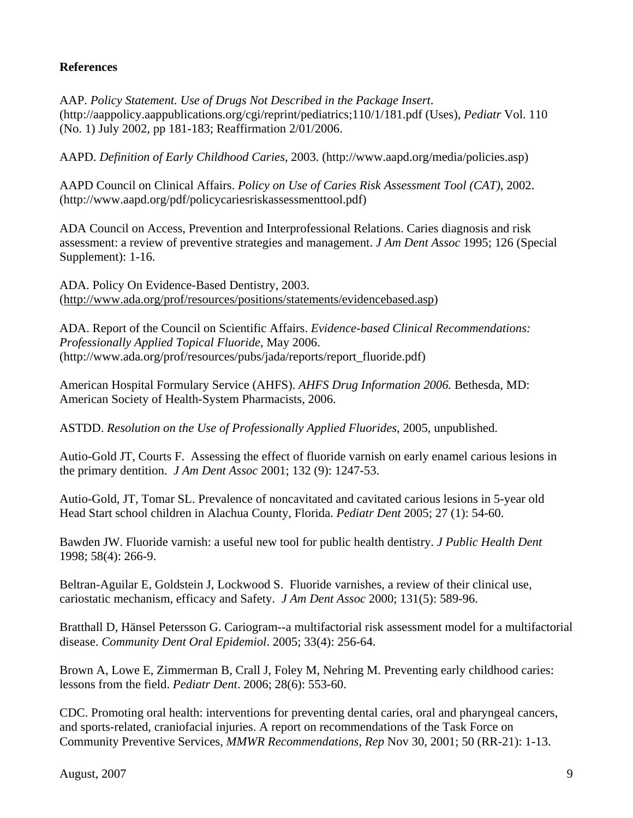## **References**

AAP. *Policy Statement. Use of Drugs Not Described in the Package Insert*. (http://aappolicy.aappublications.org/cgi/reprint/pediatrics;110/1/181.pdf (Uses), *Pediatr* Vol. 110 (No. 1) July 2002, pp 181-183; Reaffirmation 2/01/2006.

AAPD. *Definition of Early Childhood Caries*, 2003. (http://www.aapd.org/media/policies.asp)

AAPD Council on Clinical Affairs. *Policy on Use of Caries Risk Assessment Tool (CAT)*, 2002. (http://www.aapd.org/pdf/policycariesriskassessmenttool.pdf)

ADA Council on Access, Prevention and Interprofessional Relations. Caries diagnosis and risk assessment: a review of preventive strategies and management. *J Am Dent Assoc* 1995; 126 (Special Supplement): 1-16.

ADA. Policy On Evidence-Based Dentistry, 2003. ([http://www.ada.org/prof/resources/positions/statements/evidencebased.asp\)](http://www.ada.org/prof/resources/positions/statements/evidencebased.asp)

ADA. Report of the Council on Scientific Affairs. *Evidence-based Clinical Recommendations: Professionally Applied Topical Fluoride*, May 2006. (http://www.ada.org/prof/resources/pubs/jada/reports/report\_fluoride.pdf)

American Hospital Formulary Service (AHFS). *AHFS Drug Information 2006.* Bethesda, MD: American Society of Health-System Pharmacists, 2006.

ASTDD. *Resolution on the Use of Professionally Applied Fluorides*, 2005, unpublished.

Autio-Gold JT, Courts F. Assessing the effect of fluoride varnish on early enamel carious lesions in the primary dentition. *J Am Dent Assoc* 2001; 132 (9): 1247-53.

Autio-Gold, JT, Tomar SL. Prevalence of noncavitated and cavitated carious lesions in 5-year old Head Start school children in Alachua County, Florida. *Pediatr Dent* 2005; 27 (1): 54-60.

Bawden JW. Fluoride varnish: a useful new tool for public health dentistry. *J Public Health Dent*  1998; 58(4): 266-9.

Beltran-Aguilar E, Goldstein J, Lockwood S. Fluoride varnishes, a review of their clinical use, cariostatic mechanism, efficacy and Safety. *J Am Dent Assoc* 2000; 131(5): 589-96.

Bratthall D, Hänsel Petersson G. Cariogram--a multifactorial risk assessment model for a multifactorial disease. *Community Dent Oral Epidemiol*. 2005; 33(4): 256-64.

[Brown A, Lowe E, Zimmerman B, Crall J, Foley M, Nehring M.](http://www.ncbi.nlm.nih.gov/entrez/query.fcgi?db=pubmed&cmd=Retrieve&dopt=AbstractPlus&list_uids=17249439&query_hl=42&itool=pubmed_docsum) Preventing early childhood caries: lessons from the field. *Pediatr Dent*. 2006; 28(6): 553-60.

CDC. Promoting oral health: interventions for preventing dental caries, oral and pharyngeal cancers, and sports-related, craniofacial injuries. A report on recommendations of the Task Force on Community Preventive Services, *MMWR Recommendations, Rep* Nov 30, 2001; 50 (RR-21): 1-13.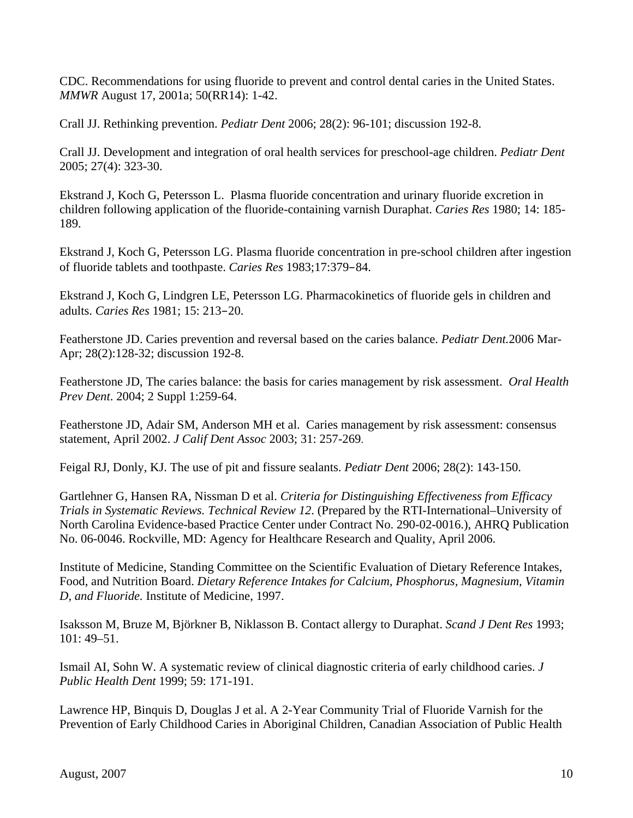CDC. Recommendations for using fluoride to prevent and control dental caries in the United States. *MMWR* August 17, 2001a; 50(RR14): 1-42.

Crall JJ. Rethinking prevention. *Pediatr Dent* 2006; 28(2): 96-101; discussion 192-8.

Crall JJ. Development and integration of oral health services for preschool-age children. *Pediatr Dent*  2005; 27(4): 323-30.

Ekstrand J, Koch G, Petersson L. Plasma fluoride concentration and urinary fluoride excretion in children following application of the fluoride-containing varnish Duraphat. *Caries Res* 1980; 14: 185 189.

Ekstrand J, Koch G, Petersson LG. Plasma fluoride concentration in pre-school children after ingestion of fluoride tablets and toothpaste. *Caries Res* 1983;17:379–84.

Ekstrand J, Koch G, Lindgren LE, Petersson LG. Pharmacokinetics of fluoride gels in children and adults. *Caries Res* 1981; 15: 213–20.

Featherstone JD. Caries prevention and reversal based on the caries balance. *Pediatr Dent.*2006 Mar-Apr; 28(2):128-32; discussion 192-8.

Featherstone JD, The caries balance: the basis for caries management by risk assessment. *Oral Health Prev Dent*. 2004; 2 Suppl 1:259-64.

Featherstone JD, Adair SM, Anderson MH et al. Caries management by risk assessment: consensus statement, April 2002. *J Calif Dent Assoc* 2003; 31: 257-269.

Feigal RJ, Donly, KJ. The use of pit and fissure sealants. *Pediatr Dent* 2006; 28(2): 143-150.

Gartlehner G, Hansen RA, Nissman D et al. *Criteria for Distinguishing Effectiveness from Efficacy Trials in Systematic Reviews. Technical Review 12*. (Prepared by the RTI-International–University of North Carolina Evidence-based Practice Center under Contract No. 290-02-0016.), AHRQ Publication No. 06-0046. Rockville, MD: Agency for Healthcare Research and Quality, April 2006.

Institute of Medicine, Standing Committee on the Scientific Evaluation of Dietary Reference Intakes, Food, and Nutrition Board. *Dietary Reference Intakes for Calcium, Phosphorus, Magnesium, Vitamin D, and Fluoride.* Institute of Medicine, 1997.

Isaksson M, Bruze M, Björkner B, Niklasson B. Contact allergy to Duraphat. *Scand J Dent Res* 1993; 101: 49–51.

Ismail AI, Sohn W. A systematic review of clinical diagnostic criteria of early childhood caries. *J Public Health Dent* 1999; 59: 171-191.

Lawrence HP, Binquis D, Douglas J et al. A 2-Year Community Trial of Fluoride Varnish for the Prevention of Early Childhood Caries in Aboriginal Children, Canadian Association of Public Health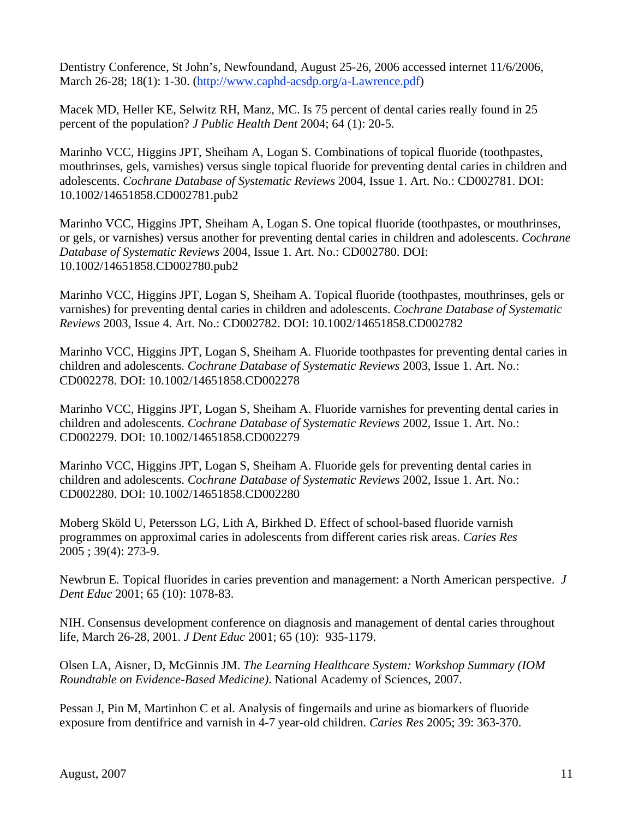Dentistry Conference, St John's, Newfoundand, August 25-26, 2006 accessed internet 11/6/2006, March 26-28; 18(1): 1-30. (<http://www.caphd-acsdp.org/a-Lawrence.pdf>)

Macek MD, Heller KE, Selwitz RH, Manz, MC. Is 75 percent of dental caries really found in 25 percent of the population? *J Public Health Dent* 2004; 64 (1): 20-5.

Marinho VCC, Higgins JPT, Sheiham A, Logan S. Combinations of topical fluoride (toothpastes, mouthrinses, gels, varnishes) versus single topical fluoride for preventing dental caries in children and adolescents. *Cochrane Database of Systematic Reviews* 2004, Issue 1. Art. No.: CD002781. DOI: 10.1002/14651858.CD002781.pub2

Marinho VCC, Higgins JPT, Sheiham A, Logan S. One topical fluoride (toothpastes, or mouthrinses, or gels, or varnishes) versus another for preventing dental caries in children and adolescents. *Cochrane Database of Systematic Reviews* 2004, Issue 1. Art. No.: CD002780. DOI: 10.1002/14651858.CD002780.pub2

Marinho VCC, Higgins JPT, Logan S, Sheiham A. Topical fluoride (toothpastes, mouthrinses, gels or varnishes) for preventing dental caries in children and adolescents. *Cochrane Database of Systematic Reviews* 2003, Issue 4. Art. No.: CD002782. DOI: 10.1002/14651858.CD002782

Marinho VCC, Higgins JPT, Logan S, Sheiham A. Fluoride toothpastes for preventing dental caries in children and adolescents. *Cochrane Database of Systematic Reviews* 2003, Issue 1. Art. No.: CD002278. DOI: 10.1002/14651858.CD002278

Marinho VCC, Higgins JPT, Logan S, Sheiham A. Fluoride varnishes for preventing dental caries in children and adolescents. *Cochrane Database of Systematic Reviews* 2002, Issue 1. Art. No.: CD002279. DOI: 10.1002/14651858.CD002279

Marinho VCC, Higgins JPT, Logan S, Sheiham A. Fluoride gels for preventing dental caries in children and adolescents. *Cochrane Database of Systematic Reviews* 2002, Issue 1. Art. No.: CD002280. DOI: 10.1002/14651858.CD002280

Moberg Sköld U, Petersson LG, Lith A, Birkhed D. Effect of school-based fluoride varnish programmes on approximal caries in adolescents from different caries risk areas. *Caries Res*  2005 ; 39(4): 273-9.

Newbrun E. Topical fluorides in caries prevention and management: a North American perspective. *J Dent Educ* 2001; 65 (10): 1078-83.

NIH. Consensus development conference on diagnosis and management of dental caries throughout life, March 26-28, 2001. *J Dent Educ* 2001; 65 (10): 935-1179.

Olsen LA, Aisner, D, McGinnis JM. *The Learning Healthcare System: Workshop Summary (IOM Roundtable on Evidence-Based Medicine)*. National Academy of Sciences, 2007.

Pessan J, Pin M, Martinhon C et al. Analysis of fingernails and urine as biomarkers of fluoride exposure from dentifrice and varnish in 4-7 year-old children. *Caries Res* 2005; 39: 363-370.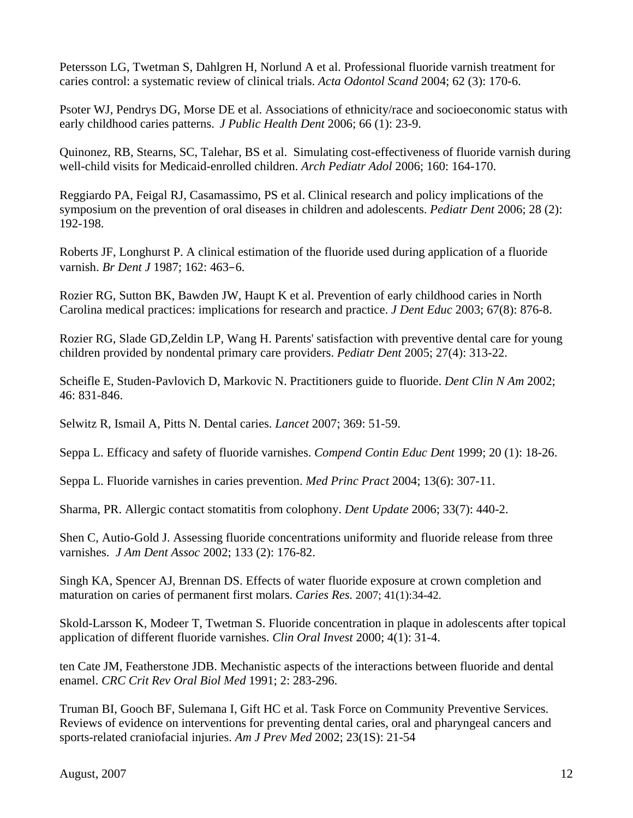Petersson LG, Twetman S, Dahlgren H, Norlund A et al. Professional fluoride varnish treatment for caries control: a systematic review of clinical trials. *Acta Odontol Scand* 2004; 62 (3): 170-6.

Psoter WJ, Pendrys DG, Morse DE et al. Associations of ethnicity/race and socioeconomic status with early childhood caries patterns. *J Public Health Dent* 2006; 66 (1): 23-9.

Quinonez, RB, Stearns, SC, Talehar, BS et al. Simulating cost-effectiveness of fluoride varnish during well-child visits for Medicaid-enrolled children. *Arch Pediatr Adol* 2006; 160: 164-170.

Reggiardo PA, Feigal RJ, Casamassimo, PS et al. Clinical research and policy implications of the symposium on the prevention of oral diseases in children and adolescents. *Pediatr Dent* 2006; 28 (2): 192-198.

Roberts JF, Longhurst P. A clinical estimation of the fluoride used during application of a fluoride varnish. *Br Dent J* 1987; 162: 463–6.

Rozier RG, Sutton BK, Bawden JW, Haupt K et al. Prevention of early childhood caries in North Carolina medical practices: implications for research and practice. *J Dent Educ* 2003; 67(8): 876-8.

Rozier RG, Slade GD,Zeldin LP, Wang H. Parents' satisfaction with preventive dental care for young children provided by nondental primary care providers. *Pediatr Dent* 2005; 27(4): 313-22.

Scheifle E, Studen-Pavlovich D, Markovic N. Practitioners guide to fluoride. *Dent Clin N Am* 2002; 46: 831-846.

Selwitz R, Ismail A, Pitts N. Dental caries. *Lancet* 2007; 369: 51-59.

Seppa L. Efficacy and safety of fluoride varnishes. *Compend Contin Educ Dent* 1999; 20 (1): 18-26.

Seppa L. Fluoride varnishes in caries prevention. *Med Princ Pract* 2004; 13(6): 307-11.

Sharma, PR. Allergic contact stomatitis from colophony. *Dent Update* 2006; 33(7): 440-2.

Shen C, Autio-Gold J. Assessing fluoride concentrations uniformity and fluoride release from three varnishes. *J Am Dent Assoc* 2002; 133 (2): 176-82.

[Singh KA,](http://www.ncbi.nlm.nih.gov/entrez/query.fcgi?db=pubmed&cmd=Search&itool=pubmed_AbstractPlus&term=%22Singh+KA%22%5BAuthor%5D) [Spencer AJ,](http://www.ncbi.nlm.nih.gov/entrez/query.fcgi?db=pubmed&cmd=Search&itool=pubmed_AbstractPlus&term=%22Spencer+AJ%22%5BAuthor%5D) [Brennan DS.](http://www.ncbi.nlm.nih.gov/entrez/query.fcgi?db=pubmed&cmd=Search&itool=pubmed_AbstractPlus&term=%22Brennan+DS%22%5BAuthor%5D) Effects of water fluoride exposure at crown completion and maturation on caries of permanent first molars. *Caries Res.* 2007; 41(1):34-42.

[Skold-Larsson K](http://www.ncbi.nlm.nih.gov/entrez/query.fcgi?db=pubmed&cmd=Search&itool=pubmed_AbstractPlus&term=%22Skold%2DLarsson+K%22%5BAuthor%5D), [Modeer T,](http://www.ncbi.nlm.nih.gov/entrez/query.fcgi?db=pubmed&cmd=Search&itool=pubmed_AbstractPlus&term=%22Modeer+T%22%5BAuthor%5D) Twetman S. Fluoride concentration in plaque in adolescents after topical application of different fluoride varnishes. *Clin Oral Invest* 2000; 4(1): 31-4.

ten Cate JM, Featherstone JDB. Mechanistic aspects of the interactions between fluoride and dental enamel. *CRC Crit Rev Oral Biol Med* 1991; 2: 283-296.

Truman BI, Gooch BF, Sulemana I, Gift HC et al. Task Force on Community Preventive Services. Reviews of evidence on interventions for preventing dental caries, oral and pharyngeal cancers and sports-related craniofacial injuries. *Am J Prev Med* 2002; 23(1S): 21-54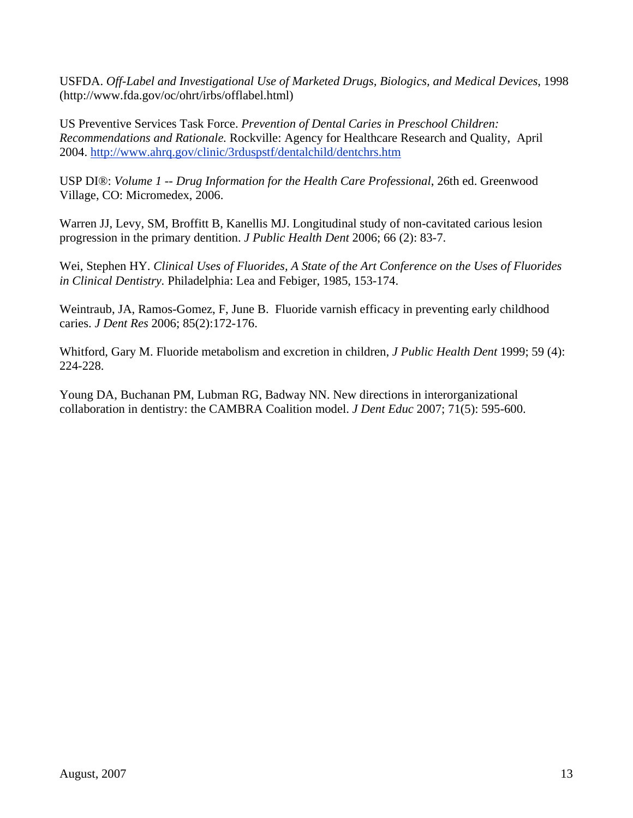USFDA. *Off-Label and Investigational Use of Marketed Drugs, Biologics, and Medical Devices*, 1998 ([http://www.fda.gov/oc/ohrt/irbs/offlabel.html\)](http://www.fda.gov/oc/ohrt/irbs/offlabel.html)

US Preventive Services Task Force. *Prevention of Dental Caries in Preschool Children: Recommendations and Rationale.* Rockville: Agency for Healthcare Research and Quality, April 2004. <http://www.ahrq.gov/clinic/3rduspstf/dentalchild/dentchrs.htm>

USP DI®: *Volume 1 -- Drug Information for the Health Care Professional*, 26th ed. Greenwood Village, CO: Micromedex, 2006.

Warren JJ, Levy, SM, Broffitt B, Kanellis MJ. Longitudinal study of non-cavitated carious lesion progression in the primary dentition. *J Public Health Dent* 2006; 66 (2): 83-7.

Wei, Stephen HY. *Clinical Uses of Fluorides, A State of the Art Conference on the Uses of Fluorides in Clinical Dentistry.* Philadelphia: Lea and Febiger, 1985, 153-174.

Weintraub, JA, Ramos-Gomez, F, June B. Fluoride varnish efficacy in preventing early childhood caries. *J Dent Res* 2006; 85(2):172-176.

Whitford, Gary M. Fluoride metabolism and excretion in children, *J Public Health Dent* 1999; 59 (4): 224-228.

[Young DA,](http://www.ncbi.nlm.nih.gov/sites/entrez?Db=pubmed&Cmd=Search&Term=%22Young%20DA%22%5BAuthor%5D&itool=EntrezSystem2.PEntrez.Pubmed.Pubmed_ResultsPanel.Pubmed_RVAbstractPlus) [Buchanan PM,](http://www.ncbi.nlm.nih.gov/sites/entrez?Db=pubmed&Cmd=Search&Term=%22Buchanan%20PM%22%5BAuthor%5D&itool=EntrezSystem2.PEntrez.Pubmed.Pubmed_ResultsPanel.Pubmed_RVAbstractPlus) [Lubman RG,](http://www.ncbi.nlm.nih.gov/sites/entrez?Db=pubmed&Cmd=Search&Term=%22Lubman%20RG%22%5BAuthor%5D&itool=EntrezSystem2.PEntrez.Pubmed.Pubmed_ResultsPanel.Pubmed_RVAbstractPlus) [Badway NN](http://www.ncbi.nlm.nih.gov/sites/entrez?Db=pubmed&Cmd=Search&Term=%22Badway%20NN%22%5BAuthor%5D&itool=EntrezSystem2.PEntrez.Pubmed.Pubmed_ResultsPanel.Pubmed_RVAbstractPlus). New directions in interorganizational collaboration in dentistry: the CAMBRA Coalition model. *J Dent Educ* 2007; 71(5): 595-600.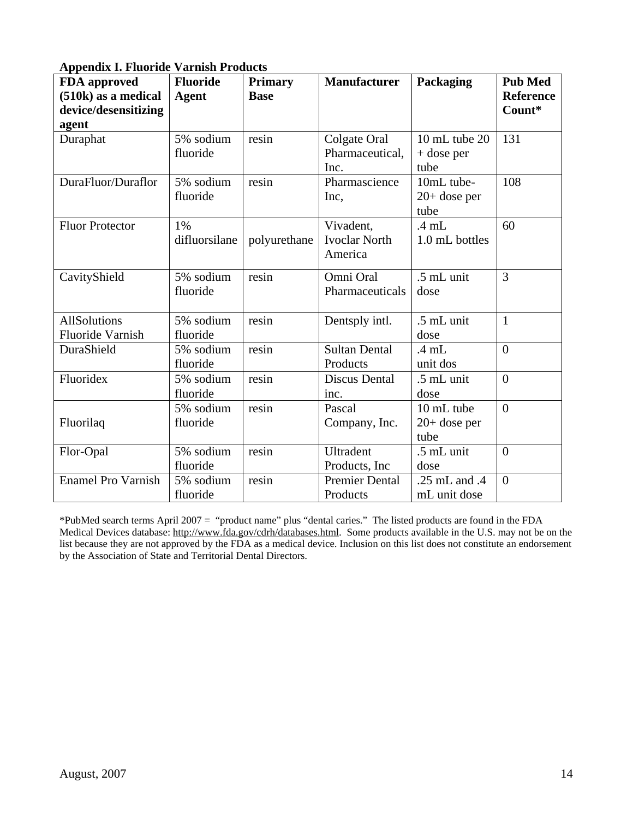| <b>Appendix I. Fluoride Varnish Products</b> |  |  |  |
|----------------------------------------------|--|--|--|
|----------------------------------------------|--|--|--|

| FDA approved<br>(510k) as a medical | <b>Fluoride</b><br><b>Agent</b> | <b>Primary</b><br><b>Base</b> | <b>Manufacturer</b>   | Packaging       | <b>Pub Med</b><br><b>Reference</b> |
|-------------------------------------|---------------------------------|-------------------------------|-----------------------|-----------------|------------------------------------|
| device/desensitizing                |                                 |                               |                       |                 | Count*                             |
| agent                               |                                 |                               |                       |                 |                                    |
| Duraphat                            | 5% sodium                       | resin                         | Colgate Oral          | 10 mL tube 20   | 131                                |
|                                     | fluoride                        |                               | Pharmaceutical,       | $+$ dose per    |                                    |
|                                     |                                 |                               | Inc.                  | tube            |                                    |
| DuraFluor/Duraflor                  | 5% sodium                       | resin                         | Pharmascience         | 10mL tube-      | 108                                |
|                                     | fluoride                        |                               | Inc,                  | $20+$ dose per  |                                    |
|                                     |                                 |                               |                       | tube            |                                    |
| <b>Fluor Protector</b>              | 1%                              |                               | Vivadent,             | $.4 \text{ mL}$ | 60                                 |
|                                     | difluorsilane                   | polyurethane                  | <b>Ivoclar North</b>  | 1.0 mL bottles  |                                    |
|                                     |                                 |                               | America               |                 |                                    |
| CavityShield                        | 5% sodium                       | resin                         | Omni Oral             | .5 mL unit      | 3                                  |
|                                     | fluoride                        |                               | Pharmaceuticals       | dose            |                                    |
|                                     |                                 |                               |                       |                 |                                    |
| <b>AllSolutions</b>                 | 5% sodium                       | resin                         | Dentsply intl.        | .5 mL unit      | $\mathbf{1}$                       |
| <b>Fluoride Varnish</b>             | fluoride                        |                               |                       | dose            |                                    |
| DuraShield                          | 5% sodium                       | resin                         | <b>Sultan Dental</b>  | $.4 \text{ mL}$ | $\overline{0}$                     |
|                                     | fluoride                        |                               | Products              | unit dos        |                                    |
| Fluoridex                           | 5% sodium                       | resin                         | <b>Discus Dental</b>  | .5 mL unit      | $\overline{0}$                     |
|                                     | fluoride                        |                               | inc.                  | dose            |                                    |
|                                     | 5% sodium                       | resin                         | Pascal                | 10 mL tube      | $\overline{0}$                     |
| Fluorilaq                           | fluoride                        |                               | Company, Inc.         | $20+$ dose per  |                                    |
|                                     |                                 |                               |                       | tube            |                                    |
| Flor-Opal                           | 5% sodium                       | resin                         | Ultradent             | .5 mL unit      | $\overline{0}$                     |
|                                     | fluoride                        |                               | Products, Inc         | dose            |                                    |
| <b>Enamel Pro Varnish</b>           | 5% sodium                       | resin                         | <b>Premier Dental</b> | .25 mL and .4   | $\overline{0}$                     |
|                                     | fluoride                        |                               | Products              | mL unit dose    |                                    |

\*PubMed search terms April 2007 = "product name" plus "dental caries." The listed products are found in the FDA Medical Devices database:<http://www.fda.gov/cdrh/databases.html>. Some products available in the U.S. may not be on the list because they are not approved by the FDA as a medical device. Inclusion on this list does not constitute an endorsement by the Association of State and Territorial Dental Directors.